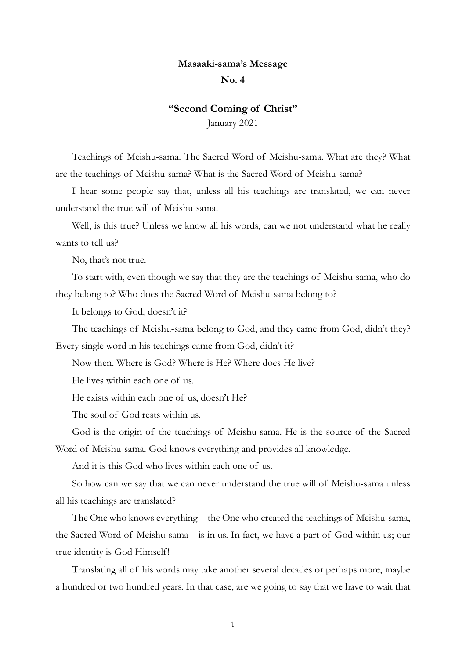## Masaaki-sama's Message

## No. 4

## "Second Coming of Christ"

January 2021

Teachings of Meishu-sama. The Sacred Word of Meishu-sama. What are they? What are the teachings of Meishu-sama? What is the Sacred Word of Meishu-sama?

I hear some people say that, unless all his teachings are translated, we can never understand the true will of Meishu-sama.

Well, is this true? Unless we know all his words, can we not understand what he really wants to tell us?

No, that's not true.

To start with, even though we say that they are the teachings of Meishu-sama, who do they belong to? Who does the Sacred Word of Meishu-sama belong to?

It belongs to God, doesn't it?

The teachings of Meishu-sama belong to God, and they came from God, didn't they?

Every single word in his teachings came from God, didn't it?

Now then. Where is God? Where is He? Where does He live?

He lives within each one of us.

He exists within each one of us, doesn't He?

The soul of God rests within us.

God is the origin of the teachings of Meishu-sama. He is the source of the Sacred

Word of Meishu-sama. God knows everything and provides all knowledge.

And it is this God who lives within each one of us.

So how can we say that we can never understand the true will of Meishu-sama unless all his teachings are translated?

The One who knows everything—the One who created the teachings of Meishu-sama, the Sacred Word of Meishu-sama—is in us. In fact, we have a part of God within us; our true identity is God Himself!

Translating all of his words may take another several decades or perhaps more, maybe a hundred or two hundred years. In that case, are we going to say that we have to wait that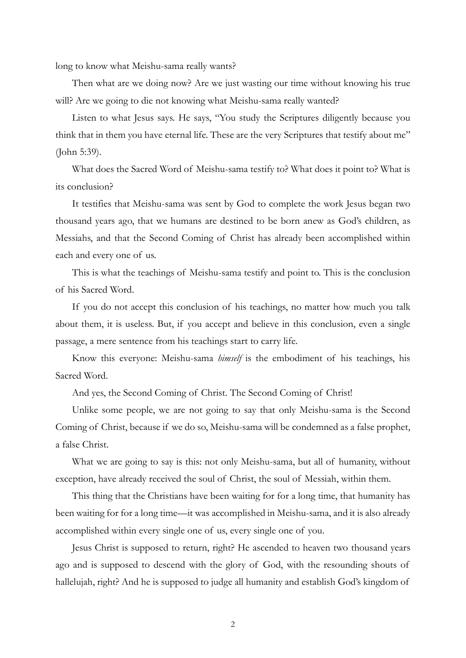long to know what Meishu-sama really wants?

Then what are we doing now? Are we just wasting our time without knowing his true will? Are we going to die not knowing what Meishu-sama really wanted?

Listen to what Jesus says. He says, "You study the Scriptures diligently because you think that in them you have eternal life. These are the very Scriptures that testify about me" (John 5:39).

What does the Sacred Word of Meishu-sama testify to? What does it point to? What is its conclusion?

It testifies that Meishu-sama was sent by God to complete the work Jesus began two thousand years ago, that we humans are destined to be born anew as God's children, as Messiahs, and that the Second Coming of Christ has already been accomplished within each and every one of us.

This is what the teachings of Meishu-sama testify and point to. This is the conclusion of his Sacred Word.

If you do not accept this conclusion of his teachings, no matter how much you talk about them, it is useless. But, if you accept and believe in this conclusion, even a single passage, a mere sentence from his teachings start to carry life.

Know this everyone: Meishu-sama himself is the embodiment of his teachings, his Sacred Word.

And yes, the Second Coming of Christ. The Second Coming of Christ!

Unlike some people, we are not going to say that only Meishu-sama is the Second Coming of Christ, because if we do so, Meishu-sama will be condemned as a false prophet, a false Christ.

What we are going to say is this: not only Meishu-sama, but all of humanity, without exception, have already received the soul of Christ, the soul of Messiah, within them.

This thing that the Christians have been waiting for for a long time, that humanity has been waiting for for a long time—it was accomplished in Meishu-sama, and it is also already accomplished within every single one of us, every single one of you.

Jesus Christ is supposed to return, right? He ascended to heaven two thousand years ago and is supposed to descend with the glory of God, with the resounding shouts of hallelujah, right? And he is supposed to judge all humanity and establish God's kingdom of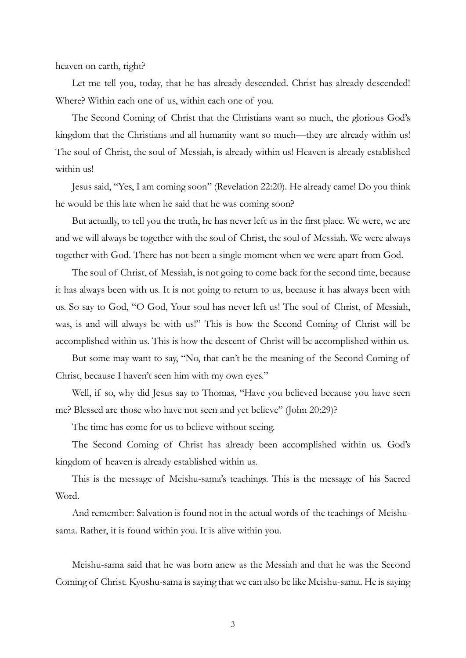heaven on earth, right?

Let me tell you, today, that he has already descended. Christ has already descended! Where? Within each one of us, within each one of you.

The Second Coming of Christ that the Christians want so much, the glorious God's kingdom that the Christians and all humanity want so much—they are already within us! The soul of Christ, the soul of Messiah, is already within us! Heaven is already established within us!

Jesus said, "Yes, I am coming soon" (Revelation 22:20). He already came! Do you think he would be this late when he said that he was coming soon?

But actually, to tell you the truth, he has never left us in the first place. We were, we are and we will always be together with the soul of Christ, the soul of Messiah. We were always together with God. There has not been a single moment when we were apart from God.

The soul of Christ, of Messiah, is not going to come back for the second time, because it has always been with us. It is not going to return to us, because it has always been with us. So say to God, "O God, Your soul has never left us! The soul of Christ, of Messiah, was, is and will always be with us!" This is how the Second Coming of Christ will be accomplished within us. This is how the descent of Christ will be accomplished within us.

But some may want to say, "No, that can't be the meaning of the Second Coming of Christ, because I haven't seen him with my own eyes."

Well, if so, why did Jesus say to Thomas, "Have you believed because you have seen me? Blessed are those who have not seen and yet believe" (John 20:29)?

The time has come for us to believe without seeing.

The Second Coming of Christ has already been accomplished within us. God's kingdom of heaven is already established within us.

This is the message of Meishu-sama's teachings. This is the message of his Sacred Word.

And remember: Salvation is found not in the actual words of the teachings of Meishusama. Rather, it is found within you. It is alive within you.

Meishu-sama said that he was born anew as the Messiah and that he was the Second Coming of Christ. Kyoshu-sama is saying that we can also be like Meishu-sama. He is saying